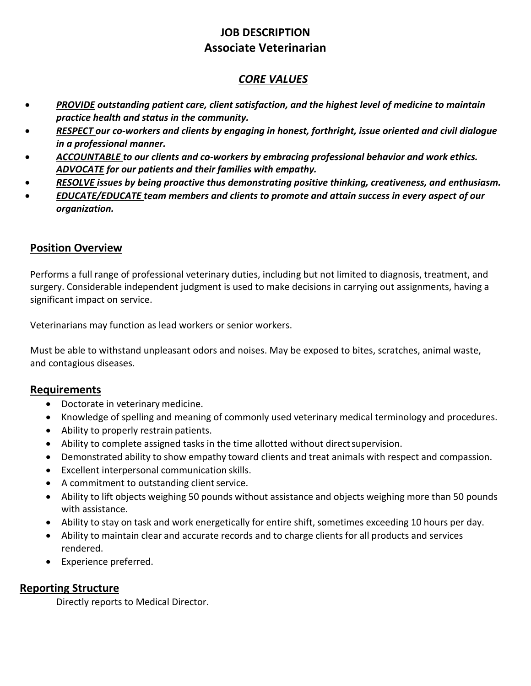# **JOB DESCRIPTION Associate Veterinarian**

### *CORE VALUES*

- *PROVIDE outstanding patient care, client satisfaction, and the highest level of medicine to maintain practice health and status in the community.*
- *RESPECT our co-workers and clients by engaging in honest, forthright, issue oriented and civil dialogue in a professional manner.*
- *ACCOUNTABLE to our clients and co-workers by embracing professional behavior and work ethics. ADVOCATE for our patients and their families with empathy.*
- *RESOLVE issues by being proactive thus demonstrating positive thinking, creativeness, and enthusiasm.*
- *EDUCATE/EDUCATE team members and clients to promote and attain success in every aspect of our organization.*

#### **Position Overview**

Performs a full range of professional veterinary duties, including but not limited to diagnosis, treatment, and surgery. Considerable independent judgment is used to make decisions in carrying out assignments, having a significant impact on service.

Veterinarians may function as lead workers or senior workers.

Must be able to withstand unpleasant odors and noises. May be exposed to bites, scratches, animal waste, and contagious diseases.

#### **Requirements**

- Doctorate in veterinary medicine.
- Knowledge of spelling and meaning of commonly used veterinary medical terminology and procedures.
- Ability to properly restrain patients.
- Ability to complete assigned tasks in the time allotted without direct supervision.
- Demonstrated ability to show empathy toward clients and treat animals with respect and compassion.
- Excellent interpersonal communication skills.
- A commitment to outstanding client service.
- Ability to lift objects weighing 50 pounds without assistance and objects weighing more than 50 pounds with assistance.
- Ability to stay on task and work energetically for entire shift, sometimes exceeding 10 hours per day.
- Ability to maintain clear and accurate records and to charge clients for all products and services rendered.
- Experience preferred.

### **Reporting Structure**

Directly reports to Medical Director.